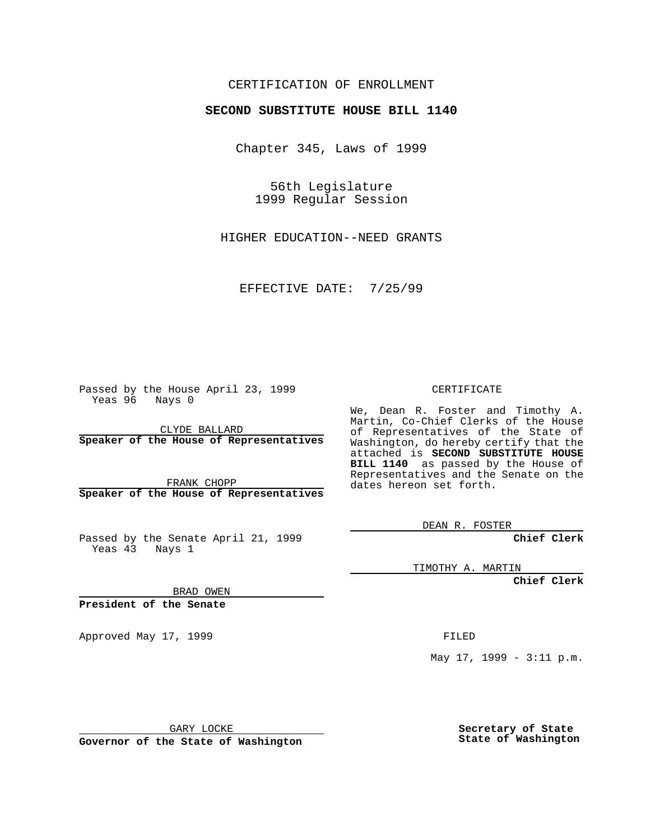#### CERTIFICATION OF ENROLLMENT

# **SECOND SUBSTITUTE HOUSE BILL 1140**

Chapter 345, Laws of 1999

56th Legislature 1999 Regular Session

HIGHER EDUCATION--NEED GRANTS

EFFECTIVE DATE: 7/25/99

Passed by the House April 23, 1999 Yeas 96 Nays 0

CLYDE BALLARD **Speaker of the House of Representatives**

FRANK CHOPP **Speaker of the House of Representatives**

Passed by the Senate April 21, 1999 Yeas 43 Nays 1

CERTIFICATE

We, Dean R. Foster and Timothy A. Martin, Co-Chief Clerks of the House of Representatives of the State of Washington, do hereby certify that the attached is **SECOND SUBSTITUTE HOUSE BILL 1140** as passed by the House of Representatives and the Senate on the dates hereon set forth.

DEAN R. FOSTER

**Chief Clerk**

TIMOTHY A. MARTIN

**Chief Clerk**

BRAD OWEN

**President of the Senate**

Approved May 17, 1999 **FILED** 

May 17, 1999 - 3:11 p.m.

GARY LOCKE

**Governor of the State of Washington**

**Secretary of State State of Washington**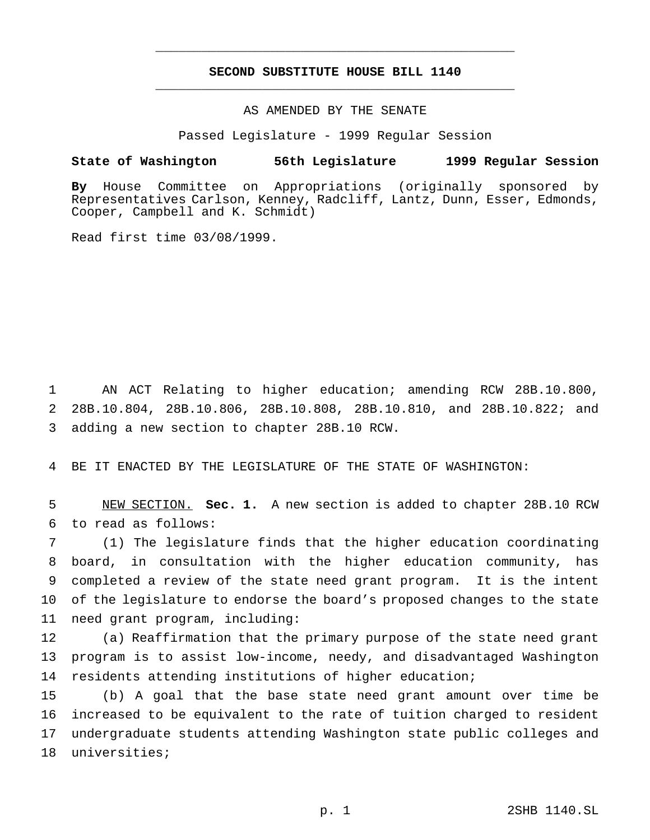## **SECOND SUBSTITUTE HOUSE BILL 1140** \_\_\_\_\_\_\_\_\_\_\_\_\_\_\_\_\_\_\_\_\_\_\_\_\_\_\_\_\_\_\_\_\_\_\_\_\_\_\_\_\_\_\_\_\_\_\_

\_\_\_\_\_\_\_\_\_\_\_\_\_\_\_\_\_\_\_\_\_\_\_\_\_\_\_\_\_\_\_\_\_\_\_\_\_\_\_\_\_\_\_\_\_\_\_

## AS AMENDED BY THE SENATE

Passed Legislature - 1999 Regular Session

#### **State of Washington 56th Legislature 1999 Regular Session**

**By** House Committee on Appropriations (originally sponsored by Representatives Carlson, Kenney, Radcliff, Lantz, Dunn, Esser, Edmonds, Cooper, Campbell and K. Schmidt)

Read first time 03/08/1999.

 AN ACT Relating to higher education; amending RCW 28B.10.800, 28B.10.804, 28B.10.806, 28B.10.808, 28B.10.810, and 28B.10.822; and adding a new section to chapter 28B.10 RCW.

BE IT ENACTED BY THE LEGISLATURE OF THE STATE OF WASHINGTON:

 NEW SECTION. **Sec. 1.** A new section is added to chapter 28B.10 RCW to read as follows:

 (1) The legislature finds that the higher education coordinating board, in consultation with the higher education community, has completed a review of the state need grant program. It is the intent of the legislature to endorse the board's proposed changes to the state need grant program, including:

 (a) Reaffirmation that the primary purpose of the state need grant program is to assist low-income, needy, and disadvantaged Washington residents attending institutions of higher education;

 (b) A goal that the base state need grant amount over time be increased to be equivalent to the rate of tuition charged to resident undergraduate students attending Washington state public colleges and universities;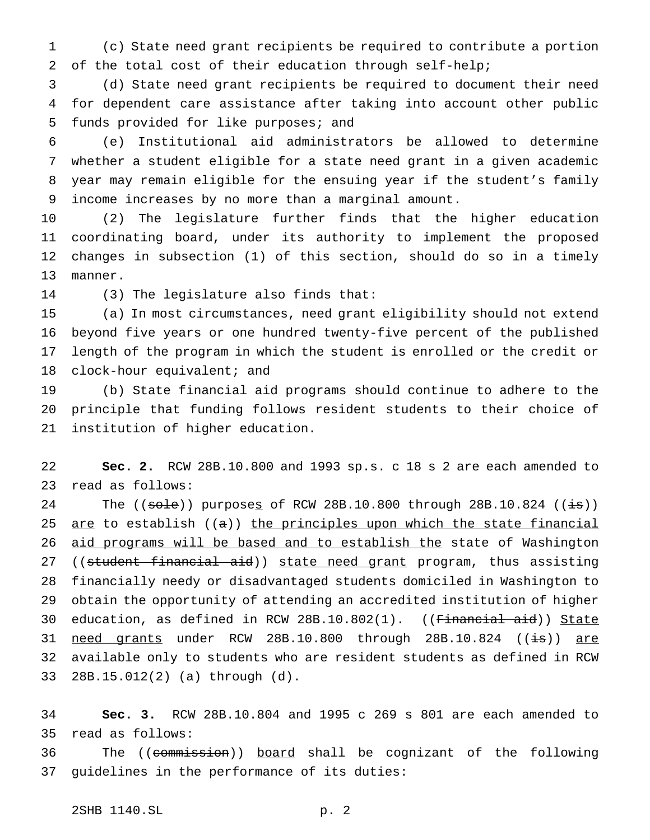(c) State need grant recipients be required to contribute a portion of the total cost of their education through self-help;

 (d) State need grant recipients be required to document their need for dependent care assistance after taking into account other public funds provided for like purposes; and

 (e) Institutional aid administrators be allowed to determine whether a student eligible for a state need grant in a given academic year may remain eligible for the ensuing year if the student's family income increases by no more than a marginal amount.

 (2) The legislature further finds that the higher education coordinating board, under its authority to implement the proposed changes in subsection (1) of this section, should do so in a timely manner.

(3) The legislature also finds that:

 (a) In most circumstances, need grant eligibility should not extend beyond five years or one hundred twenty-five percent of the published length of the program in which the student is enrolled or the credit or clock-hour equivalent; and

 (b) State financial aid programs should continue to adhere to the principle that funding follows resident students to their choice of institution of higher education.

 **Sec. 2.** RCW 28B.10.800 and 1993 sp.s. c 18 s 2 are each amended to read as follows:

24 The ((sole)) purposes of RCW 28B.10.800 through 28B.10.824 ((is)) 25  $are$  to establish ((a)) the principles upon which the state financial aid programs will be based and to establish the state of Washington 27 ((student financial aid)) state need grant program, thus assisting financially needy or disadvantaged students domiciled in Washington to obtain the opportunity of attending an accredited institution of higher 30 education, as defined in RCW 28B.10.802(1). ((Financial aid)) State 31 need grants under RCW 28B.10.800 through 28B.10.824 ((<del>is</del>)) are available only to students who are resident students as defined in RCW 28B.15.012(2) (a) through (d).

 **Sec. 3.** RCW 28B.10.804 and 1995 c 269 s 801 are each amended to read as follows:

36 The ((commission)) board shall be cognizant of the following guidelines in the performance of its duties: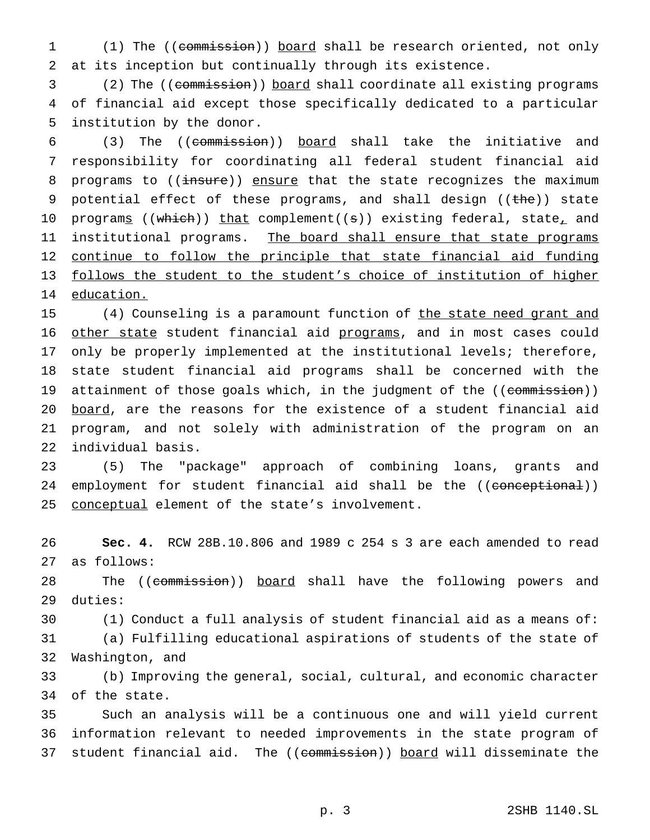(1) The ((commission)) board shall be research oriented, not only at its inception but continually through its existence.

 (2) The ((commission)) board shall coordinate all existing programs of financial aid except those specifically dedicated to a particular institution by the donor.

 (3) The ((commission)) board shall take the initiative and responsibility for coordinating all federal student financial aid 8 programs to ((insure)) ensure that the state recognizes the maximum 9 potential effect of these programs, and shall design ((the)) state 10 programs ((which)) that complement((s)) existing federal, state<sub>r</sub> and 11 institutional programs. The board shall ensure that state programs 12 continue to follow the principle that state financial aid funding follows the student to the student's choice of institution of higher education.

15 (4) Counseling is a paramount function of the state need grant and 16 other state student financial aid programs, and in most cases could only be properly implemented at the institutional levels; therefore, state student financial aid programs shall be concerned with the 19 attainment of those goals which, in the judgment of the ((commission)) 20 board, are the reasons for the existence of a student financial aid program, and not solely with administration of the program on an individual basis.

 (5) The "package" approach of combining loans, grants and 24 employment for student financial aid shall be the ((conceptional)) 25 conceptual element of the state's involvement.

 **Sec. 4.** RCW 28B.10.806 and 1989 c 254 s 3 are each amended to read as follows:

28 The ((commission)) board shall have the following powers and duties:

 (1) Conduct a full analysis of student financial aid as a means of: (a) Fulfilling educational aspirations of students of the state of Washington, and

 (b) Improving the general, social, cultural, and economic character of the state.

 Such an analysis will be a continuous one and will yield current information relevant to needed improvements in the state program of 37 student financial aid. The ((commission)) board will disseminate the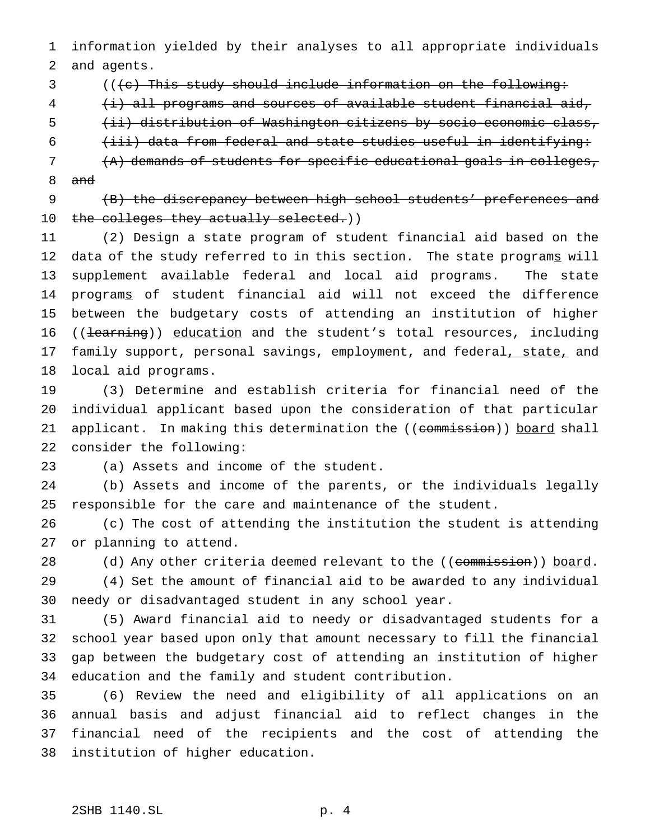information yielded by their analyses to all appropriate individuals and agents.

- 3 ((<del>(c) This study should include information on the following:</del>
- (i) all programs and sources of available student financial aid,
- (ii) distribution of Washington citizens by socio-economic class,
- (iii) data from federal and state studies useful in identifying:
- (A) demands of students for specific educational goals in colleges, and
- (B) the discrepancy between high school students' preferences and 10 the colleges they actually selected.))

 (2) Design a state program of student financial aid based on the 12 data of the study referred to in this section. The state programs will supplement available federal and local aid programs. The state programs of student financial aid will not exceed the difference between the budgetary costs of attending an institution of higher 16 ((learning)) education and the student's total resources, including 17 family support, personal savings, employment, and federal, state, and local aid programs.

 (3) Determine and establish criteria for financial need of the individual applicant based upon the consideration of that particular 21 applicant. In making this determination the ((commission)) board shall consider the following:

(a) Assets and income of the student.

 (b) Assets and income of the parents, or the individuals legally responsible for the care and maintenance of the student.

 (c) The cost of attending the institution the student is attending or planning to attend.

28 (d) Any other criteria deemed relevant to the ((commission)) board. (4) Set the amount of financial aid to be awarded to any individual needy or disadvantaged student in any school year.

 (5) Award financial aid to needy or disadvantaged students for a school year based upon only that amount necessary to fill the financial gap between the budgetary cost of attending an institution of higher education and the family and student contribution.

 (6) Review the need and eligibility of all applications on an annual basis and adjust financial aid to reflect changes in the financial need of the recipients and the cost of attending the institution of higher education.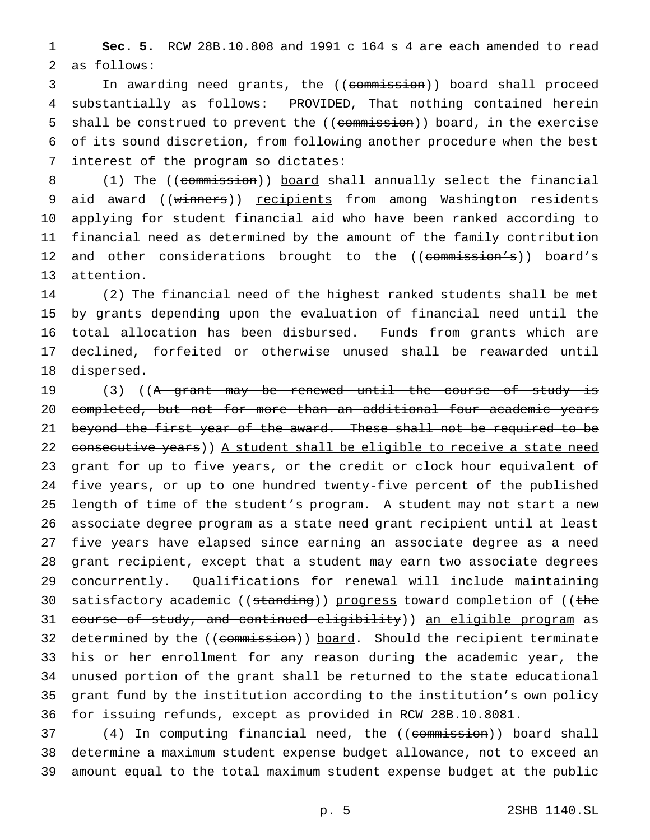1 **Sec. 5.** RCW 28B.10.808 and 1991 c 164 s 4 are each amended to read 2 as follows:

3 In awarding need grants, the ((commission)) board shall proceed 4 substantially as follows: PROVIDED, That nothing contained herein 5 shall be construed to prevent the ((commission)) board, in the exercise 6 of its sound discretion, from following another procedure when the best 7 interest of the program so dictates:

8 (1) The ((commission)) board shall annually select the financial 9 aid award ((winners)) recipients from among Washington residents 10 applying for student financial aid who have been ranked according to 11 financial need as determined by the amount of the family contribution 12 and other considerations brought to the ((commission's)) board's 13 attention.

 (2) The financial need of the highest ranked students shall be met by grants depending upon the evaluation of financial need until the total allocation has been disbursed. Funds from grants which are declined, forfeited or otherwise unused shall be reawarded until dispersed.

19 (3) ((A grant may be renewed until the course of study is 20 completed, but not for more than an additional four academic years 21 beyond the first year of the award. These shall not be required to be 22 consecutive years) ) A student shall be eligible to receive a state need 23 grant for up to five years, or the credit or clock hour equivalent of 24 five years, or up to one hundred twenty-five percent of the published 25 length of time of the student's program. A student may not start a new 26 associate degree program as a state need grant recipient until at least 27 five years have elapsed since earning an associate degree as a need 28 grant recipient, except that a student may earn two associate degrees 29 concurrently. Qualifications for renewal will include maintaining 30 satisfactory academic ((standing)) progress toward completion of ((the 31 course of study, and continued eligibility)) an eligible program as 32 determined by the ((commission)) board. Should the recipient terminate 33 his or her enrollment for any reason during the academic year, the 34 unused portion of the grant shall be returned to the state educational 35 grant fund by the institution according to the institution's own policy 36 for issuing refunds, except as provided in RCW 28B.10.8081.

37 (4) In computing financial need, the ((commission)) board shall 38 determine a maximum student expense budget allowance, not to exceed an 39 amount equal to the total maximum student expense budget at the public